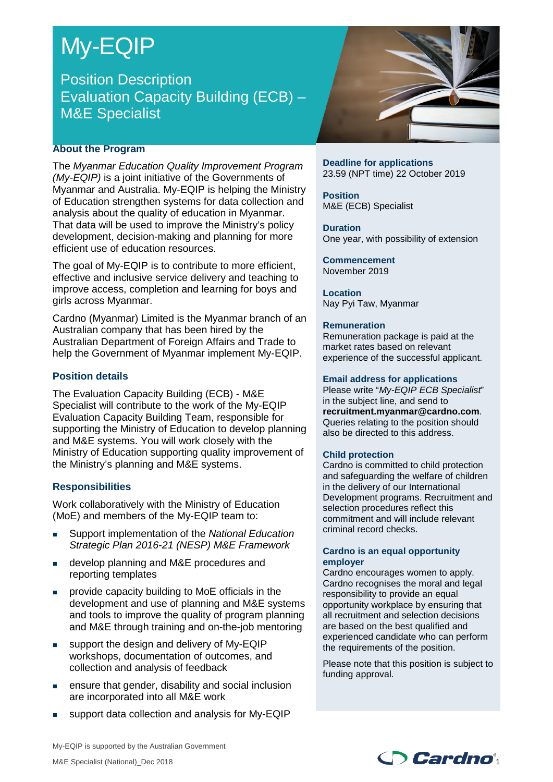# My-EQIP

# Position Description Evaluation Capacity Building (ECB) – M&E Specialist

# **About the Program**

The *Myanmar Education Quality Improvement Program (My-EQIP)* is a joint initiative of the Governments of Myanmar and Australia. My-EQIP is helping the Ministry of Education strengthen systems for data collection and analysis about the quality of education in Myanmar. That data will be used to improve the Ministry's policy development, decision-making and planning for more efficient use of education resources.

The goal of My-EQIP is to contribute to more efficient, effective and inclusive service delivery and teaching to improve access, completion and learning for boys and girls across Myanmar.

Cardno (Myanmar) Limited is the Myanmar branch of an Australian company that has been hired by the Australian Department of Foreign Affairs and Trade to help the Government of Myanmar implement My-EQIP.

# **Position details**

The Evaluation Capacity Building (ECB) - M&E Specialist will contribute to the work of the My-EQIP Evaluation Capacity Building Team, responsible for supporting the Ministry of Education to develop planning and M&E systems. You will work closely with the Ministry of Education supporting quality improvement of the Ministry's planning and M&E systems.

# **Responsibilities**

Work collaboratively with the Ministry of Education (MoE) and members of the My-EQIP team to:

- Support implementation of the *National Education Strategic Plan 2016-21 (NESP) M&E Framework*
- **develop planning and M&E procedures and** reporting templates
- provide capacity building to MoE officials in the development and use of planning and M&E systems and tools to improve the quality of program planning and M&E through training and on-the-job mentoring
- support the design and delivery of My-EQIP workshops, documentation of outcomes, and collection and analysis of feedback
- ensure that gender, disability and social inclusion are incorporated into all M&E work
- support data collection and analysis for My-EQIP



**Deadline for applications** 23.59 (NPT time) 22 October 2019

**Position** M&E (ECB) Specialist

**Duration** One year, with possibility of extension

**Commencement** November 2019

**Location** Nay Pyi Taw, Myanmar

#### **Remuneration**

Remuneration package is paid at the market rates based on relevant experience of the successful applicant.

#### **Email address for applications**

Please write "*My-EQIP ECB Specialist*" in the subject line, and send to **recruitment.myanmar@cardno.com**. Queries relating to the position should also be directed to this address.

## **Child protection**

Cardno is committed to child protection and safeguarding the welfare of children in the delivery of our International Development programs. Recruitment and selection procedures reflect this commitment and will include relevant criminal record checks.

#### **Cardno is an equal opportunity employer**

Cardno encourages women to apply. Cardno recognises the moral and legal responsibility to provide an equal opportunity workplace by ensuring that all recruitment and selection decisions are based on the best qualified and experienced candidate who can perform the requirements of the position.

Please note that this position is subject to funding approval.